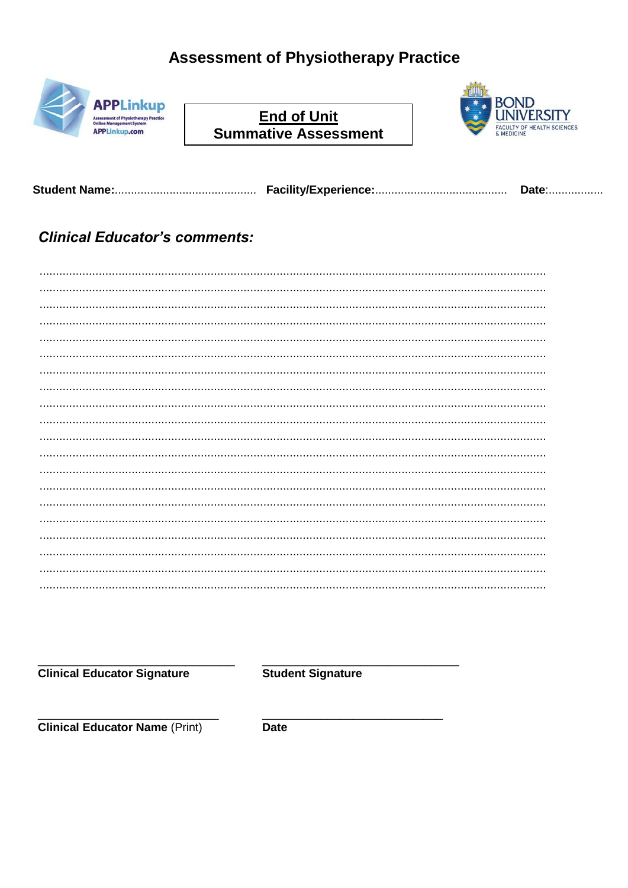# **Assessment of Physiotherapy Practice**



**End of Unit Summative Assessment** 



Date:.................

#### **Clinical Educator's comments:**

**Clinical Educator Signature** 

**Student Signature** 

**Clinical Educator Name (Print)** 

**Date**